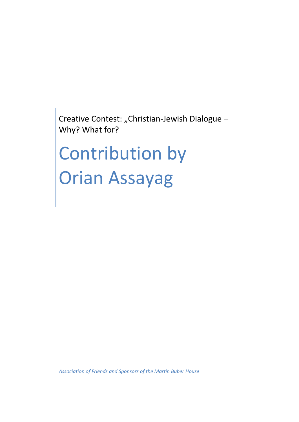Creative Contest: "Christian-Jewish Dialogue -Why? What for?

# Contribution by Orian Assayag

*Association of Friends and Sponsors of the Martin Buber House*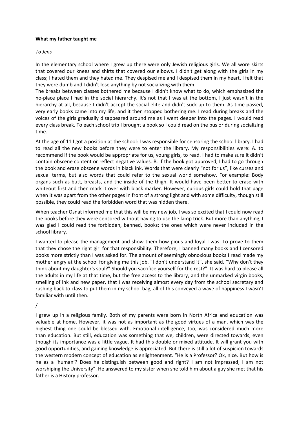# **What my father taught me**

#### *To Jens*

In the elementary school where I grew up there were only Jewish religious girls. We all wore skirts that covered our knees and shirts that covered our elbows. I didn't get along with the girls in my class; I hated them and they hated me. They despised me and I despised them in my heart. I felt that they were dumb and I didn't lose anything by not socializing with them.

The breaks between classes bothered me because I didn't know what to do, which emphasized the no-place place I had in the social hierarchy. It's not that I was at the bottom, I just wasn't in the hierarchy at all, because I didn't accept the social elite and didn't suck up to them. As time passed, very early books came into my life, and it then stopped bothering me. I read during breaks and the voices of the girls gradually disappeared around me as I went deeper into the pages. I would read every class break. To each school trip I brought a book so I could read on the bus or during socializing time.

At the age of 11 I got a position at the school: I was responsible for censoring the school library. I had to read all the new books before they were to enter the library. My responsibilities were: A. to recommend if the book would be appropriate for us, young girls, to read. I had to make sure it didn't contain obscene content or reflect negative values. B. If the book got approved, I had to go through the book and erase obscene words in black ink. Words that were clearly "not for us", like curses and sexual terms, but also words that could refer to the sexual world somehow. For example: Body organs such as butt, breasts, and the inside of the thigh. It would have been better to erase with whiteout first and then mark it over with black marker. However, curious girls could hold that page when it was apart from the other pages in front of a strong light and with some difficulty, though still possible, they could read the forbidden word that was hidden there.

When teacher Osnat informed me that this will be my new job, I was so excited that I could now read the books before they were censored without having to use the lamp trick. But more than anything, I was glad I could read the forbidden, banned, books; the ones which were never included in the school library.

I wanted to please the management and show them how pious and loyal I was. To prove to them that they chose the right girl for that responsibility. Therefore, I banned many books and I censored books more strictly than I was asked for. The amount of seemingly obnoxious books I read made my mother angry at the school for giving me this job. "I don't understand it", she said. "Why don't they think about my daughter's soul?" Should you sacrifice yourself for the rest?". It was hard to please all the adults in my life at that time, but the free access to the library, and the unmarked virgin books, smelling of ink and new paper, that I was receiving almost every day from the school secretary and rushing back to class to put them in my school bag, all of this conveyed a wave of happiness I wasn't familiar with until then.

/

I grew up in a religious family. Both of my parents were born in North Africa and education was valuable at home. However, it was not as important as the good virtues of a man, which was the highest thing one could be blessed with. Emotional intelligence, too, was considered much more than education. But still, education was something that we, children, were directed towards, even though its importance was a little vague. It had this double or mixed attitude. It will grant you with good opportunities, and gaining knowledge is appreciated. But there is still a lot of suspicion towards the western modern concept of education as enlightenment. "He is a Professor? Ok, nice. But how is he as a 'human'? Does he distinguish between good and right? I am not impressed, I am not worshiping the University". He answered to my sister when she told him about a guy she met that his father is a History professor.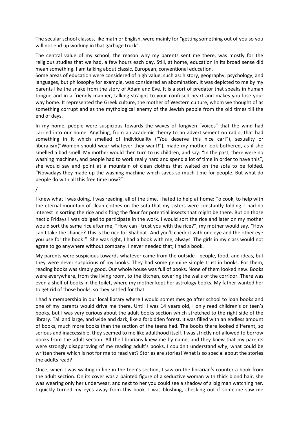The secular school classes, like math or English, were mainly for "getting something out of you so you will not end up working in that garbage truck".

The central value of my school, the reason why my parents sent me there, was mostly for the religious studies that we had, a few hours each day. Still, at home, education in its broad sense did mean something. I am talking about classic, European, conventional education.

Some areas of education were considered of high value, such as: history, geography, psychology, and languages, but philosophy for example, was considered an abomination. It was depicted to me by my parents like the snake from the story of Adam and Eve. It is a sort of predator that speaks in human tongue and in a friendly manner, talking straight to your confused heart and makes you lose your way home. It represented the Greek culture, the mother of Western culture, whom we thought of as something corrupt and as the mythological enemy of the Jewish people from the old times till the end of days.

In my home, people were suspicious towards the waves of forgiven "voices" that the wind had carried into our home. Anything, from an academic theory to an advertisement on radio, that had something in it which smelled of individuality ("You deserve this nice car!"), sexuality or liberalism("Women should wear whatever they want!"), made my mother look bothered, as if she smelled a bad smell. My mother would then turn to us children, and say: "In the past, there were no washing machines, and people had to work really hard and spend a lot of time in order to have this", she would say and point at a mountain of clean clothes that waited on the sofa to be folded. "Nowadays they made up the washing machine which saves so much time for people. But what do people do with all this free time now?"

/

I knew what I was doing, I was reading, all of the time. I hated to help at home: To cook, to help with the eternal mountain of clean clothes on the sofa that my sisters were constantly folding. I had no interest in sorting the rice and sifting the flour for potential insects that might be there. But on those hectic Fridays I was obliged to participate in the work. I would sort the rice and later on my mother would sort the same rice after me, "How can I trust you with the rice?", my mother would say. "How can I take the chance? This is the rice for Shabbat! And you'll check it with one eye and the other eye you use for the book!". She was right, I had a book with me, always. The girls in my class would not agree to go anywhere without company. I never needed that; I had a book.

My parents were suspicious towards whatever came from the outside - people, food, and ideas, but they were never suspicious of my books. They had some genuine simple trust in books. For them, reading books was simply good. Our whole house was full of books. None of them looked new. Books were everywhere, from the living room, to the kitchen, covering the walls of the corridor. There was even a shelf of books in the toilet, where my mother kept her astrology books. My father wanted her to get rid of those books, so they settled for that.

I had a membership in our local library where I would sometimes go after school to loan books and one of my parents would drive me there. Until I was 14 years old, I only read children's or teen's books, but I was very curious about the adult books section which stretched to the right side of the library. Tall and large, and wide and dark, like a forbidden forest. It was filled with an endless amount of books, much more books than the section of the teens had. The books there looked different, so serious and inaccessible, they seemed to me like adulthood itself. I was strictly not allowed to borrow books from the adult section. All the librarians knew me by name, and they knew that my parents were strongly disapproving of me reading adult's books. I couldn't understand why, what could be written there which is not for me to read yet? Stories are stories! What is so special about the stories the adults read?

Once, when I was waiting in line in the teen's section, I saw on the librarian's counter a book from the adult section. On its cover was a painted figure of a seductive woman with thick blond hair, she was wearing only her underwear, and next to her you could see a shadow of a big man watching her. I quickly turned my eyes away from this book. I was blushing, checking out if someone saw me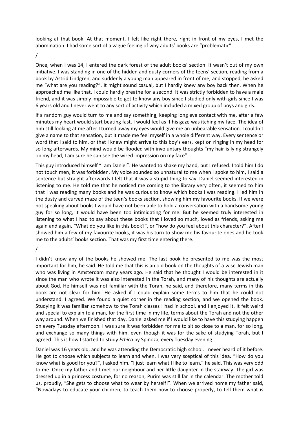looking at that book. At that moment, I felt like right there, right in front of my eyes, I met the abomination. I had some sort of a vague feeling of why adults' books are "problematic".

/

Once, when I was 14, I entered the dark forest of the adult books' section. It wasn't out of my own initiative. I was standing in one of the hidden and dusty corners of the teens' section, reading from a book by Astrid Lindgren, and suddenly a young man appeared in front of me, and stopped, he asked me "what are you reading?". It might sound casual, but I hardly knew any boy back then. When he approached me like that, I could hardly breathe for a second. It was strictly forbidden to have a male friend, and it was simply impossible to get to know any boy since I studied only with girls since I was 6 years old and I never went to any sort of activity which included a mixed group of boys and girls.

If a random guy would turn to me and say something, keeping long eye contact with me, after a few minutes my heart would start beating fast. I would feel as if his gaze was itching my face. The idea of him still looking at me after I turned away my eyes would give me an unbearable sensation. I couldn't give a name to that sensation, but it made me feel myself in a whole different way. Every sentence or word that I said to him, or that I knew might arrive to this boy's ears, kept on ringing in my head for so long afterwards. My mind would be flooded with involuntary thoughts "my hair is lying strangely on my head, I am sure he can see the wired impression on my face".

This guy introduced himself "I am Daniel". He wanted to shake my hand, but I refused. I told him I do not touch men, it was forbidden. My voice sounded so unnatural to me when I spoke to him, I said a sentence but straight afterwards I felt that it was a stupid thing to say. Daniel seemed interested in listening to me. He told me that he noticed me coming to the library very often, it seemed to him that I was reading many books and he was curious to know which books I was reading. I led him in the dusty and curved maze of the teen's books section, showing him my favourite books. If we were not speaking about books I would have not been able to hold a conversation with a handsome young guy for so long, it would have been too intimidating for me. But he seemed truly interested in listening to what I had to say about these books that I loved so much, loved as friends, asking me again and again, "What do you like in this book?", or "how do you feel about this character?". After I showed him a few of my favourite books, it was his turn to show me his favourite ones and he took me to the adults' books section. That was my first time entering there.

/

I didn't know any of the books he showed me. The last book he presented to me was the most important for him, he said. He told me that this is an old book on the thoughts of a wise Jewish man who was living in Amsterdam many years ago. He said that he thought I would be interested in it since the man who wrote it was also interested in the Torah, and many of his thoughts are actually about God. He himself was not familiar with the Torah, he said, and therefore, many terms in this book are not clear for him. He asked if I could explain some terms to him that he could not understand. I agreed. We found a quiet corner in the reading section, and we opened the book. Studying it was familiar somehow to the Torah classes I had in school, and I enjoyed it. It felt weird and special to explain to a man, for the first time in my life, terms about the Torah and not the other way around. When we finished that day, Daniel asked me if I would like to have this studying happen on every Tuesday afternoon. I was sure it was forbidden for me to sit so close to a man, for so long, and exchange so many things with him, even though it was for the sake of studying Torah, but I agreed. This is how I started to study *Ethica* by Spinoza, every Tuesday evening.

Daniel was 16 years old, and he was attending the Democratic high school. I never heard of it before. He got to choose which subjects to learn and when. I was very sceptical of this idea. "How do you know what is good for you?", I asked him. "I just learn what I like to learn," he said. This was very odd to me. Once my father and I met our neighbour and her little daughter in the stairway. The girl was dressed up in a princess costume, for no reason, Purim was still far in the calendar. The mother told us, proudly, "She gets to choose what to wear by herself!". When we arrived home my father said, "Nowadays to educate your children, to teach them how to choose properly, to tell them what is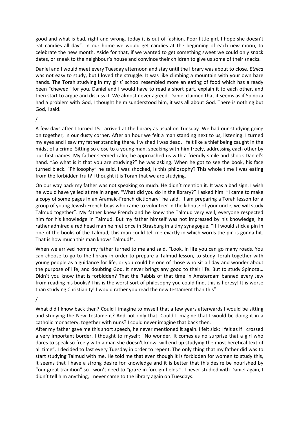good and what is bad, right and wrong, today it is out of fashion. Poor little girl. I hope she doesn't eat candies all day". In our home we would get candies at the beginning of each new moon, to celebrate the new month. Aside for that, if we wanted to get something sweet we could only snack dates, or sneak to the neighbour's house and convince their children to give us some of their snacks.

Daniel and I would meet every Tuesday afternoon and stay until the library was about to close. *Ethica* was not easy to study, but I loved the struggle. It was like climbing a mountain with your own bare hands. The Torah studying in my girls' school resembled more an eating of food which has already been "chewed" for you. Daniel and I would have to read a short part, explain it to each other, and then start to argue and discuss it. We almost never agreed. Daniel claimed that it seems as if Spinoza had a problem with God, I thought he misunderstood him, it was all about God. There is nothing but God, I said.

/

A few days after I turned 15 I arrived at the library as usual on Tuesday. We had our studying going on together, in our dusty corner. After an hour we felt a man standing next to us, listening. I turned my eyes and I saw my father standing there. I wished I was dead, I felt like a thief being caught in the midst of a crime. Sitting so close to a young man, speaking with him freely, addressing each other by our first names. My father seemed calm, he approached us with a friendly smile and shook Daniel's hand. "So what is it that you are studying?" he was asking. When he got to see the book, his face turned black. "Philosophy" he said. I was shocked, is this philosophy? This whole time I was eating from the forbidden fruit? I thought it is Torah that we are studying.

On our way back my father was not speaking so much. He didn't mention it. It was a bad sign. I wish he would have yelled at me in anger. "What did you do in the library?" I asked him. "I came to make a copy of some pages in an Aramaic-French dictionary" he said. "I am preparing a Torah lesson for a group of young Jewish French boys who came to volunteer in the kibbutz of your uncle, we will study Talmud together". My father knew French and he knew the Talmud very well, everyone respected him for his knowledge in Talmud. But my father himself was not impressed by his knowledge, he rather admired a red head man he met once in Strasburg in a tiny synagogue. "If I would stick a pin in one of the books of the Talmud, this man could tell me exactly in which words the pin is gonna hit. That is how much this man knows Talmud!".

When we arrived home my father turned to me and said, "Look, in life you can go many roads. You can choose to go to the library in order to prepare a Talmud lesson, to study Torah together with young people as a guidance for life, or you could be one of those who sit all day and wonder about the purpose of life, and doubting God. It never brings any good to their life. But to study Spinoza… Didn't you know that is forbidden? That the Rabbis of that time in Amsterdam banned every Jew from reading his books? This is the worst sort of philosophy you could find, this is heresy! It is worse than studying Christianity! I would rather you read the new testament than this"

/

What did I know back then? Could I imagine to myself that a few years afterwards I would be sitting and studying the New Testament? And not only that. Could I imagine that I would be doing it in a catholic monastery, together with nuns? I could never imagine that back then.

After my father gave me this short speech, he never mentioned it again. I felt sick; I felt as if I crossed a very important border. I thought to myself: "No wonder. It comes as no surprise that a girl who dares to speak so freely with a man she doesn't know, will end up studying the most heretical text of all time". I decided to fast every Tuesday in order to repent. The only thing that my father did was to start studying Talmud with me. He told me that even though it is forbidden for women to study this, it seems that I have a strong desire for knowledge and it is better that this desire be nourished by "our great tradition" so I won't need to ״graze in foreign fields ״. I never studied with Daniel again, I didn't tell him anything, I never came to the library again on Tuesdays.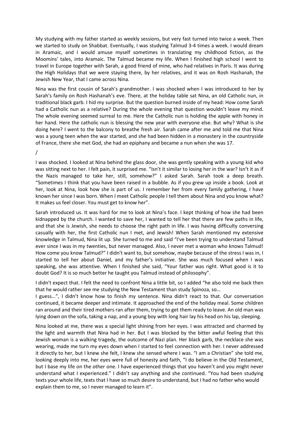My studying with my father started as weekly sessions, but very fast turned into twice a week. Then we started to study on Shabbat. Eventually, I was studying Talmud 3-4 times a week. I would dream in Aramaic, and I would amuse myself sometimes in translating my childhood fiction, as the Moomins' tales, into Aramaic. The Talmud became my life. When I finished high school I went to travel in Europe together with Sarah, a good friend of mine, who had relatives in Paris. It was during the High Holidays that we were staying there, by her relatives, and it was on Rosh Hashanah, the Jewish New Year, that I came across Nina.

Nina was the first cousin of Sarah's grandmother. I was shocked when I was introduced to her by Sarah's family on Rosh Hashanah's eve. There, at the holiday table sat Nina, an old Catholic nun, in traditional black garb. I hid my surprise. But the question burned inside of my head: How come Sarah had a Catholic nun as a relative? During the whole evening that question wouldn't leave my mind. The whole evening seemed surreal to me. Here the Catholic nun is holding the apple with honey in her hand. Here the catholic nun is blessing the new year with everyone else. But why? What is she doing here? I went to the balcony to breathe fresh air. Sarah came after me and told me that Nina was a young teen when the war started, and she had been hidden in a monastery in the countryside of France, there she met God, she had an epiphany and became a nun when she was 17.

/

I was shocked. I looked at Nina behind the glass door, she was gently speaking with a young kid who was sitting next to her. I felt pain, it surprised me. "Isn't it similar to losing her in the war? Isn't it as if the Nazis managed to take her, still, somehow?" I asked Sarah. Sarah took a deep breath. "Sometimes I think that you have been raised in a bubble. As if you grew up inside a book. Look at her, look at Nina, look how she is part of us. I remember her from every family gathering, I have known her since I was born. When I meet Catholic people I tell them about Nina and you know what? It makes us feel closer. You must get to know her".

Sarah introduced us. It was hard for me to look at Nina's face. I kept thinking of how she had been kidnapped by the church. I wanted to save her, I wanted to tell her that there are few paths in life, and that she is Jewish, she needs to choose the right path in life. I was having difficulty conversing casually with her, the first Catholic nun I met, and Jewish! When Sarah mentioned my extensive knowledge in Talmud, Nina lit up. She turned to me and said "I've been trying to understand Talmud ever since I was in my twenties, but never managed. Also, I never met a woman who knows Talmud! How come you know Talmud?" I didn't want to, but somehow, maybe because of the stress I was in, I started to tell her about Daniel, and my father's initiative. She was much focused when I was speaking, she was attentive. When I finished she said, "Your father was right. What good is it to doubt God? It is so much better he taught you Talmud instead of philosophy".

I didn't expect that. I felt the need to confront Nina a little bit, so I added "he also told me back then that he would rather see me studying the New Testament than study Spinoza, so…

I guess…", I didn't know how to finish my sentence. Nina didn't react to that. Our conversation continued, it became deeper and intimate. It approached the end of the holiday meal. Some children ran around and their tired mothers ran after them, trying to get them ready to leave. An old man was lying down on the sofa, taking a nap, and a young boy with long hair lay his head on his lap, sleeping.

Nina looked at me, there was a special light shining from her eyes. I was attracted and charmed by the light and warmth that Nina had in her. But I was blocked by the bitter awful feeling that this Jewish woman is a walking tragedy, the outcome of Nazi plan. Her black garb, the necklace she was wearing, made me turn my eyes down when I started to feel connection with her. I never addressed it directly to her, but I knew she felt, I knew she sensed where I was. "I am a Christian" she told me, looking deeply into me, her eyes were full of honesty and faith, "I do believe in the Old Testament, but I base my life on the other one. I have experienced things that you haven't and you might never understand what I experienced." I didn't say anything and she continued. "You had been studying texts your whole life, texts that I have so much desire to understand, but I had no father who would explain them to me, so I never managed to learn it".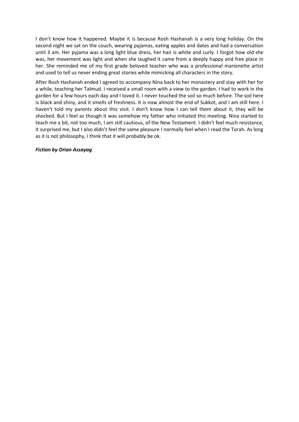I don't know how it happened. Maybe it is because Rosh Hashanah is a very long holiday. On the second night we sat on the couch, wearing pyjamas, eating apples and dates and had a conversation until 3 am. Her pyjama was a long light blue dress, her hair is white and curly. I forgot how old she was, her movement was light and when she laughed it came from a deeply happy and free place in her. She reminded me of my first grade beloved teacher who was a professional marionette artist and used to tell us never ending great stories while mimicking all characters in the story.

After Rosh Hashanah ended I agreed to accompany Nina back to her monastery and stay with her for a while, teaching her Talmud. I received a small room with a view to the garden. I had to work in the garden for a few hours each day and I loved it. I never touched the soil so much before. The soil here is black and shiny, and it smells of freshness. It is now almost the end of Sukkot, and I am still here. I haven't told my parents about this visit. I don't know how I can tell them about it, they will be shocked. But I feel as though it was somehow my father who initiated this meeting. Nina started to teach me a bit, not too much, I am still cautious, of the New Testament. I didn't feel much resistance, it surprised me, but I also didn't feel the same pleasure I normally feel when I read the Torah. As long as it is not philosophy, I think that it will probably be ok.

# *Fiction by Orian Assayag*